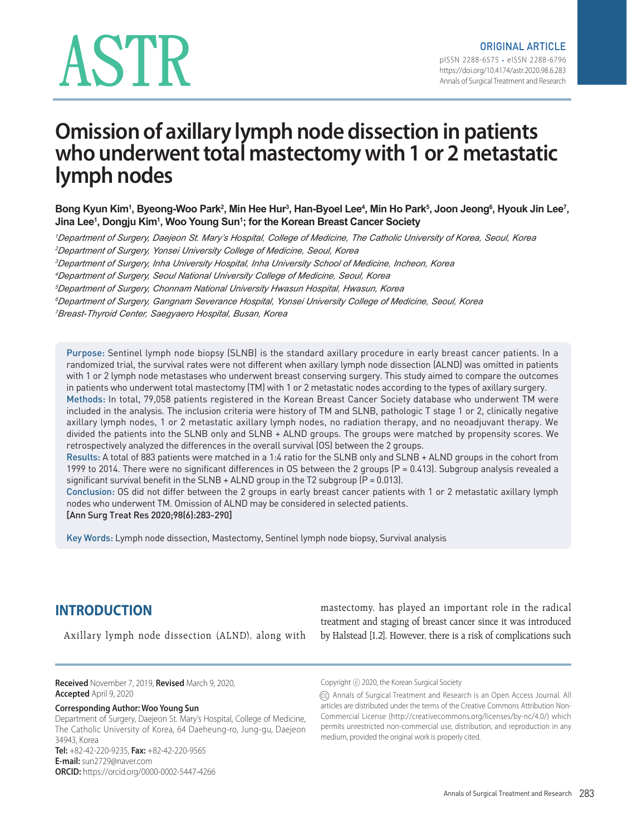# ASTR

# **Omission of axillary lymph node dissection in patients who underwent total mastectomy with 1 or 2 metastatic lymph nodes**

Bong Kyun Kim<sup>1</sup>, Byeong-Woo Park<sup>2</sup>, Min Hee Hur<sup>3</sup>, Han-Byoel Lee<sup>4</sup>, Min Ho Park<sup>5</sup>, Joon Jeong<sup>6</sup>, Hyouk Jin Lee<sup>7</sup>, **Jina Lee1 , Dongju Kim1 , Woo Young Sun1 ; for the Korean Breast Cancer Society**

*Department of Surgery, Daejeon St. Mary's Hospital, College of Medicine, The Catholic University of Korea, Seoul, Korea Department of Surgery, Yonsei University College of Medicine, Seoul, Korea Department of Surgery, Inha University Hospital, Inha University School of Medicine, Incheon, Korea Department of Surgery, Seoul National University College of Medicine, Seoul, Korea Department of Surgery, Chonnam National University Hwasun Hospital, Hwasun, Korea Department of Surgery, Gangnam Severance Hospital, Yonsei University College of Medicine, Seoul, Korea Breast-Thyroid Center, Saegyaero Hospital, Busan, Korea*

Purpose: Sentinel lymph node biopsy (SLNB) is the standard axillary procedure in early breast cancer patients. In a randomized trial, the survival rates were not different when axillary lymph node dissection (ALND) was omitted in patients with 1 or 2 lymph node metastases who underwent breast conserving surgery. This study aimed to compare the outcomes in patients who underwent total mastectomy (TM) with 1 or 2 metastatic nodes according to the types of axillary surgery. Methods: In total, 79,058 patients registered in the Korean Breast Cancer Society database who underwent TM were included in the analysis. The inclusion criteria were history of TM and SLNB, pathologic T stage 1 or 2, clinically negative axillary lymph nodes, 1 or 2 metastatic axillary lymph nodes, no radiation therapy, and no neoadjuvant therapy. We divided the patients into the SLNB only and SLNB + ALND groups. The groups were matched by propensity scores. We retrospectively analyzed the differences in the overall survival (OS) between the 2 groups.

Results: A total of 883 patients were matched in a 1:4 ratio for the SLNB only and SLNB + ALND groups in the cohort from 1999 to 2014. There were no significant differences in OS between the 2 groups (P = 0.413). Subgroup analysis revealed a significant survival benefit in the  $SLNB + ALND$  group in the T2 subgroup ( $P = 0.013$ ).

Conclusion: OS did not differ between the 2 groups in early breast cancer patients with 1 or 2 metastatic axillary lymph nodes who underwent TM. Omission of ALND may be considered in selected patients.

[Ann Surg Treat Res 2020;98(6):283-290]

Key Words: Lymph node dissection, Mastectomy, Sentinel lymph node biopsy, Survival analysis

# **INTRODUCTION**

Axillary lymph node dissection (ALND), along with

mastectomy, has played an important role in the radical treatment and staging of breast cancer since it was introduced by Halstead [1,2]. However, there is a risk of complications such

**Received** November 7, 2019, **Revised** March 9, 2020, **Accepted** April 9, 2020

#### **Corresponding Author: Woo Young Sun**

Department of Surgery, Daejeon St. Mary's Hospital, College of Medicine, The Catholic University of Korea, 64 Daeheung-ro, Jung-gu, Daejeon 34943, Korea **Tel:** +82-42-220-9235, **Fax:** +82-42-220-9565 **E-mail:** sun2729@naver.com

**ORCID:** https://orcid.org/0000-0002-5447-4266

Copyright ⓒ 2020, the Korean Surgical Society

(cc) Annals of Surgical Treatment and Research is an Open Access Journal. All articles are distributed under the terms of the Creative Commons Attribution Non-Commercial License (http://creativecommons.org/licenses/by-nc/4.0/) which permits unrestricted non-commercial use, distribution, and reproduction in any medium, provided the original work is properly cited.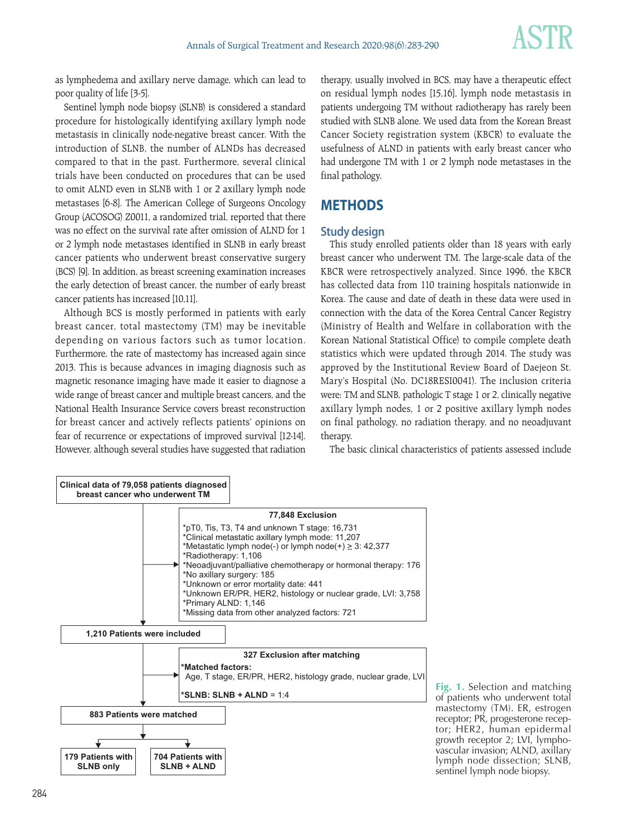

as lymphedema and axillary nerve damage, which can lead to poor quality of life [3-5].

Sentinel lymph node biopsy (SLNB) is considered a standard procedure for histologically identifying axillary lymph node metastasis in clinically node-negative breast cancer. With the introduction of SLNB, the number of ALNDs has decreased compared to that in the past. Furthermore, several clinical trials have been conducted on procedures that can be used to omit ALND even in SLNB with 1 or 2 axillary lymph node metastases [6-8]. The American College of Surgeons Oncology Group (ACOSOG) Z0011, a randomized trial, reported that there was no effect on the survival rate after omission of ALND for 1 or 2 lymph node metastases identified in SLNB in early breast cancer patients who underwent breast conservative surgery (BCS) [9]. In addition, as breast screening examination increases the early detection of breast cancer, the number of early breast cancer patients has increased [10,11].

Although BCS is mostly performed in patients with early breast cancer, total mastectomy (TM) may be inevitable depending on various factors such as tumor location. Furthermore, the rate of mastectomy has increased again since 2013. This is because advances in imaging diagnosis such as magnetic resonance imaging have made it easier to diagnose a wide range of breast cancer and multiple breast cancers, and the National Health Insurance Service covers breast reconstruction for breast cancer and actively reflects patients' opinions on fear of recurrence or expectations of improved survival [12-14]. However, although several studies have suggested that radiation therapy, usually involved in BCS, may have a therapeutic effect on residual lymph nodes [15,16], lymph node metastasis in patients undergoing TM without radiotherapy has rarely been studied with SLNB alone. We used data from the Korean Breast Cancer Society registration system (KBCR) to evaluate the usefulness of ALND in patients with early breast cancer who had undergone TM with 1 or 2 lymph node metastases in the final pathology.

# **METHODS**

#### **Study design**

This study enrolled patients older than 18 years with early breast cancer who underwent TM. The large-scale data of the KBCR were retrospectively analyzed. Since 1996, the KBCR has collected data from 110 training hospitals nationwide in Korea. The cause and date of death in these data were used in connection with the data of the Korea Central Cancer Registry (Ministry of Health and Welfare in collaboration with the Korean National Statistical Office) to compile complete death statistics which were updated through 2014. The study was approved by the Institutional Review Board of Daejeon St. Mary's Hospital (No. DC18RESI0041). The inclusion criteria were: TM and SLNB, pathologic T stage 1 or 2, clinically negative axillary lymph nodes, 1 or 2 positive axillary lymph nodes on final pathology, no radiation therapy, and no neoadjuvant therapy.

The basic clinical characteristics of patients assessed include



**Fig. 1.** Selection and matching of patients who underwent total mastectomy (TM). ER, estrogen receptor; PR, progesterone receptor; HER2, human epidermal growth receptor 2; LVI, lymphovascular invasion; ALND, axillary lymph node dissection; SLNB, sentinel lymph node biopsy.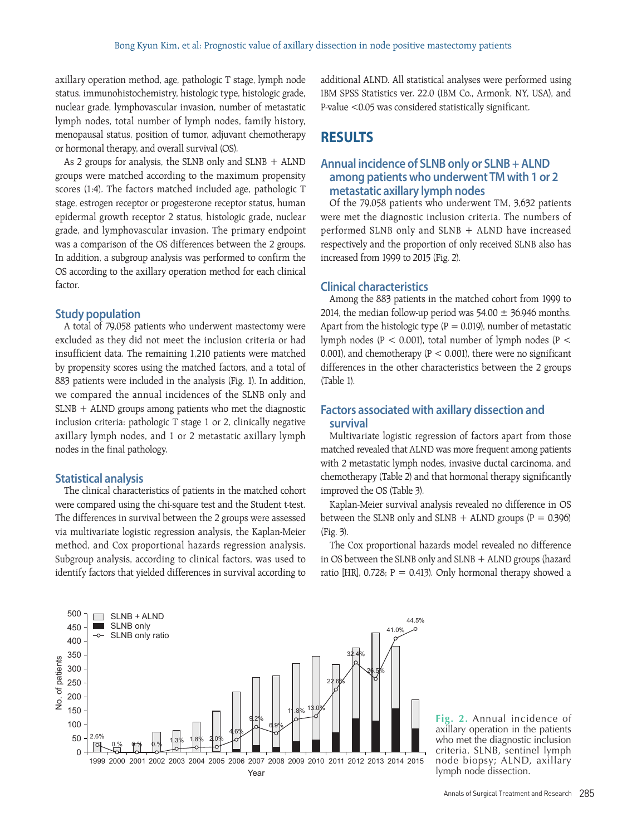axillary operation method, age, pathologic T stage, lymph node status, immunohistochemistry, histologic type, histologic grade, nuclear grade, lymphovascular invasion, number of metastatic lymph nodes, total number of lymph nodes, family history, menopausal status, position of tumor, adjuvant chemotherapy or hormonal therapy, and overall survival (OS).

As 2 groups for analysis, the SLNB only and  $SLNB + ALND$ groups were matched according to the maximum propensity scores (1:4). The factors matched included age, pathologic T stage, estrogen receptor or progesterone receptor status, human epidermal growth receptor 2 status, histologic grade, nuclear grade, and lymphovascular invasion. The primary endpoint was a comparison of the OS differences between the 2 groups. In addition, a subgroup analysis was performed to confirm the OS according to the axillary operation method for each clinical factor.

#### **Study population**

A total of 79,058 patients who underwent mastectomy were excluded as they did not meet the inclusion criteria or had insufficient data. The remaining 1,210 patients were matched by propensity scores using the matched factors, and a total of 883 patients were included in the analysis (Fig. 1). In addition, we compared the annual incidences of the SLNB only and SLNB + ALND groups among patients who met the diagnostic inclusion criteria: pathologic T stage 1 or 2, clinically negative axillary lymph nodes, and 1 or 2 metastatic axillary lymph nodes in the final pathology.

#### **Statistical analysis**

The clinical characteristics of patients in the matched cohort were compared using the chi-square test and the Student t-test. The differences in survival between the 2 groups were assessed via multivariate logistic regression analysis, the Kaplan-Meier method, and Cox proportional hazards regression analysis. Subgroup analysis, according to clinical factors, was used to identify factors that yielded differences in survival according to additional ALND. All statistical analyses were performed using IBM SPSS Statistics ver. 22.0 (IBM Co., Armonk, NY, USA), and P-value <0.05 was considered statistically significant.

### **RESULTS**

#### **Annual incidence of SLNB only or SLNB + ALND among patients who underwent TM with 1 or 2 metastatic axillary lymph nodes**

Of the 79,058 patients who underwent TM, 3,632 patients were met the diagnostic inclusion criteria. The numbers of performed SLNB only and SLNB + ALND have increased respectively and the proportion of only received SLNB also has increased from 1999 to 2015 (Fig. 2).

#### **Clinical characteristics**

Among the 883 patients in the matched cohort from 1999 to 2014, the median follow-up period was  $54.00 \pm 36.946$  months. Apart from the histologic type ( $P = 0.019$ ), number of metastatic lymph nodes ( $P < 0.001$ ), total number of lymph nodes ( $P <$ 0.001), and chemotherapy ( $P < 0.001$ ), there were no significant differences in the other characteristics between the 2 groups (Table 1).

#### **Factors associated with axillary dissection and survival**

Multivariate logistic regression of factors apart from those matched revealed that ALND was more frequent among patients with 2 metastatic lymph nodes, invasive ductal carcinoma, and chemotherapy (Table 2) and that hormonal therapy significantly improved the OS (Table 3).

Kaplan-Meier survival analysis revealed no difference in OS between the SLNB only and SLNB  $+$  ALND groups (P = 0.396) (Fig. 3).

The Cox proportional hazards model revealed no difference in OS between the SLNB only and SLNB + ALND groups (hazard ratio [HR],  $0.728$ ; P = 0.413). Only hormonal therapy showed a



**Fig. 2.** Annual incidence of axillary operation in the patients who met the diagnostic inclusion criteria. SLNB, sentinel lymph node biopsy; ALND, axillary lymph node dissection.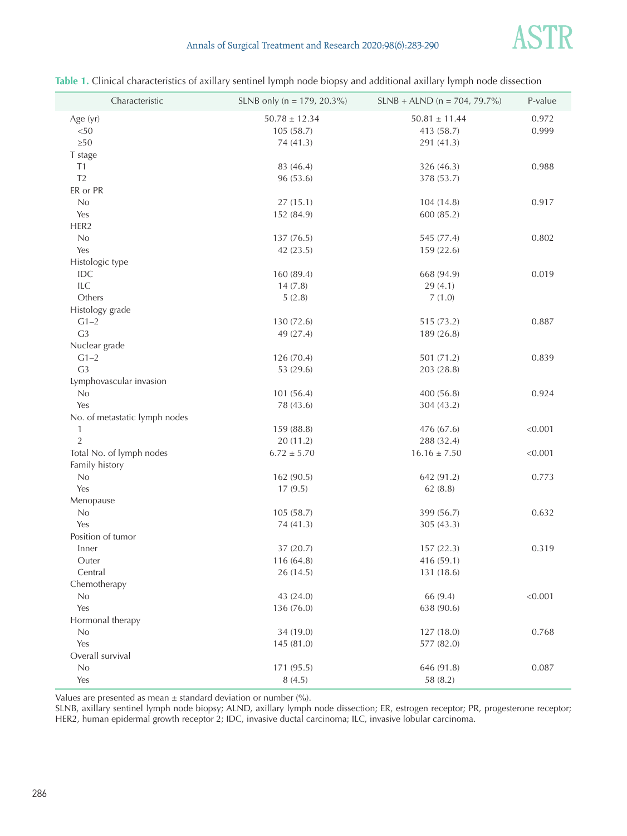

#### Annals of Surgical Treatment and Research 2020;98(6):283-290

| Characteristic                | SLNB only ( $n = 179$ , 20.3%) | $SLNB + ALND$ (n = 704, 79.7%) | P-value |
|-------------------------------|--------------------------------|--------------------------------|---------|
| Age (yr)                      | $50.78 \pm 12.34$              | $50.81 \pm 11.44$              | 0.972   |
| < 50                          | 105(58.7)                      | 413 (58.7)                     | 0.999   |
| $\geq 50$                     | 74 (41.3)                      | 291 (41.3)                     |         |
| T stage                       |                                |                                |         |
| T1                            | 83 (46.4)                      | 326 (46.3)                     | 0.988   |
| T <sub>2</sub>                | 96 (53.6)                      | 378 (53.7)                     |         |
| ER or PR                      |                                |                                |         |
| No                            | 27(15.1)                       | 104(14.8)                      | 0.917   |
| Yes                           | 152 (84.9)                     | 600(85.2)                      |         |
| HER2                          |                                |                                |         |
| No                            | 137 (76.5)                     | 545 (77.4)                     | 0.802   |
| Yes                           | 42 (23.5)                      | 159 (22.6)                     |         |
| Histologic type               |                                |                                |         |
| IDC                           | 160 (89.4)                     | 668 (94.9)                     | 0.019   |
| ILC                           | 14(7.8)                        | 29(4.1)                        |         |
| Others                        | 5(2.8)                         | 7(1.0)                         |         |
| Histology grade               |                                |                                |         |
| $G1-2$                        | 130 (72.6)                     | 515 (73.2)                     | 0.887   |
| G <sub>3</sub>                | 49 (27.4)                      | 189 (26.8)                     |         |
| Nuclear grade                 |                                |                                |         |
| $G1-2$                        | 126 (70.4)                     | 501 (71.2)                     | 0.839   |
| G <sub>3</sub>                | 53 (29.6)                      | 203 (28.8)                     |         |
| Lymphovascular invasion       |                                |                                |         |
| No                            | 101(56.4)                      | 400 (56.8)                     | 0.924   |
| Yes                           | 78 (43.6)                      | 304 (43.2)                     |         |
| No. of metastatic lymph nodes |                                |                                |         |
| $\mathbf{1}$                  | 159 (88.8)                     | 476 (67.6)                     | < 0.001 |
| $\overline{2}$                | 20(11.2)                       | 288 (32.4)                     |         |
| Total No. of lymph nodes      | $6.72 \pm 5.70$                | $16.16 \pm 7.50$               | < 0.001 |
| Family history                |                                |                                |         |
| No                            | 162 (90.5)                     | 642 (91.2)                     | 0.773   |
| Yes                           | 17(9.5)                        | 62(8.8)                        |         |
| Menopause                     |                                |                                |         |
| No                            | 105(58.7)                      | 399 (56.7)                     | 0.632   |
| Yes                           | 74(41.3)                       | 305(43.3)                      |         |
| Position of tumor             |                                |                                |         |
| Inner                         | 37 (20.7)                      | 157(22.3)                      | 0.319   |
| Outer                         | 116 (64.8)                     | 416 (59.1)                     |         |
| Central                       | 26 (14.5)                      | 131 (18.6)                     |         |
| Chemotherapy                  |                                |                                |         |
| No                            | 43 (24.0)                      | 66 (9.4)                       | < 0.001 |
| Yes                           | 136(76.0)                      | 638 (90.6)                     |         |
| Hormonal therapy              |                                |                                |         |
| No                            | 34 (19.0)                      | 127(18.0)                      | 0.768   |
| Yes                           | 145 (81.0)                     | 577 (82.0)                     |         |
| Overall survival              |                                |                                |         |
| No                            | 171 (95.5)                     | 646 (91.8)                     | 0.087   |
| Yes                           | 8(4.5)                         | 58 (8.2)                       |         |

| Table 1. Clinical characteristics of axillary sentinel lymph node biopsy and additional axillary lymph node dissection |  |  |  |
|------------------------------------------------------------------------------------------------------------------------|--|--|--|
|------------------------------------------------------------------------------------------------------------------------|--|--|--|

Values are presented as mean  $\pm$  standard deviation or number (%).

SLNB, axillary sentinel lymph node biopsy; ALND, axillary lymph node dissection; ER, estrogen receptor; PR, progesterone receptor; HER2, human epidermal growth receptor 2; IDC, invasive ductal carcinoma; ILC, invasive lobular carcinoma.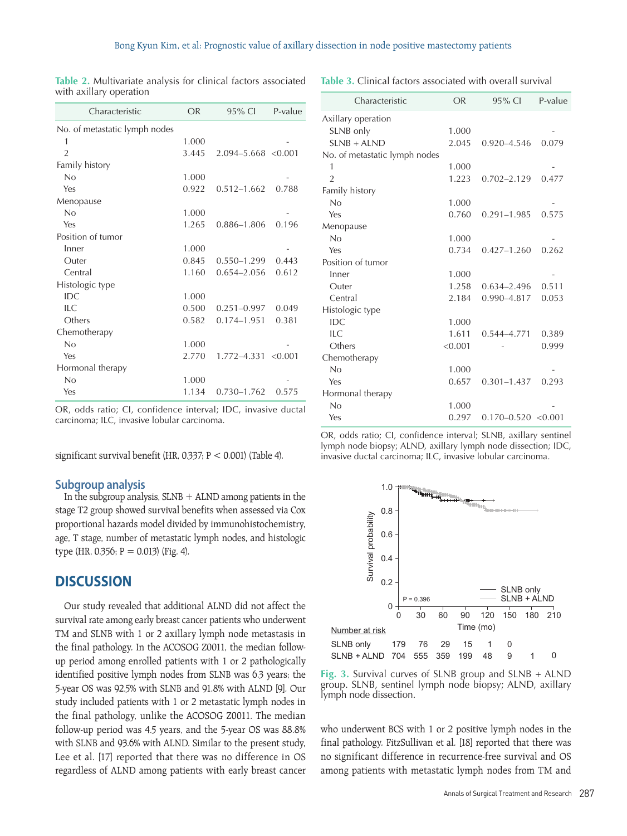| Characteristic                | <b>OR</b> | $95\%$ Cl               | P-value |
|-------------------------------|-----------|-------------------------|---------|
| No. of metastatic lymph nodes |           |                         |         |
| 1                             | 1.000     |                         |         |
| $\overline{2}$                | 3.445     | $2.094 - 5.668$ < 0.001 |         |
| Family history                |           |                         |         |
| No                            | 1.000     |                         |         |
| Yes                           | 0.922     | $0.512 - 1.662$         | 0.788   |
| Menopause                     |           |                         |         |
| No                            | 1.000     |                         |         |
| Yes                           | 1.265     | 0.886-1.806             | 0.196   |
| Position of tumor             |           |                         |         |
| Inner                         | 1.000     |                         |         |
| Outer                         | 0.845     | 0.550-1.299             | 0.443   |
| Central                       | 1.160     | $0.654 - 2.056$         | 0.612   |
| Histologic type               |           |                         |         |
| IDC                           | 1.000     |                         |         |
| ILC                           | 0.500     | $0.251 - 0.997$         | 0.049   |
| Others                        | 0.582     | 0.174-1.951             | 0.381   |
| Chemotherapy                  |           |                         |         |
| No                            | 1.000     |                         |         |
| Yes                           | 2.770     | 1.772-4.331             | < 0.001 |
| Hormonal therapy              |           |                         |         |
| No                            | 1.000     |                         |         |
| Yes                           | 1.134     | 0.730-1.762             | 0.575   |
|                               |           |                         |         |

**Table 2.** Multivariate analysis for clinical factors associated with axillary operation

**Table 3.** Clinical factors associated with overall survival

| Characteristic                | <b>OR</b> | 95% CI                  | P-value |
|-------------------------------|-----------|-------------------------|---------|
| Axillary operation            |           |                         |         |
| SLNB only                     | 1.000     |                         |         |
| $SLNB + ALND$                 | 2.045     | 0.920-4.546             | 0.079   |
| No. of metastatic lymph nodes |           |                         |         |
| 1                             | 1.000     |                         |         |
| $\mathfrak{D}$                | 1.223     | $0.702 - 2.129$         | 0.477   |
| Family history                |           |                         |         |
| No                            | 1.000     |                         |         |
| Yes                           | 0.760     | $0.291 - 1.985$         | 0.575   |
| Menopause                     |           |                         |         |
| No                            | 1.000     |                         |         |
| Yes                           | 0.734     | $0.427 - 1.260$         | 0.262   |
| Position of tumor             |           |                         |         |
| Inner                         | 1.000     |                         |         |
| Outer                         | 1.258     | $0.634 - 2.496$         | 0.511   |
| Central                       | 2.184     | 0.990-4.817             | 0.053   |
| Histologic type               |           |                         |         |
| IDC                           | 1.000     |                         |         |
| ILC                           | 1.611     | 0.544-4.771             | 0.389   |
| Others                        | < 0.001   |                         | 0.999   |
| Chemotherapy                  |           |                         |         |
| No                            | 1.000     |                         |         |
| Yes                           | 0.657     | $0.301 - 1.437$         | 0.293   |
| Hormonal therapy              |           |                         |         |
| No                            | 1.000     |                         |         |
| Yes                           | 0.297     | $0.170 - 0.520 < 0.001$ |         |

OR, odds ratio; CI, confidence interval; IDC, invasive ductal carcinoma; ILC, invasive lobular carcinoma.

significant survival benefit (HR, 0.337; P < 0.001) (Table 4).

#### **Subgroup analysis**

In the subgroup analysis,  $SLNB + ALND$  among patients in the stage T2 group showed survival benefits when assessed via Cox proportional hazards model divided by immunohistochemistry, age, T stage, number of metastatic lymph nodes, and histologic type (HR, 0.356; P = 0.013) (Fig. 4).

# **DISCUSSION**

Our study revealed that additional ALND did not affect the survival rate among early breast cancer patients who underwent TM and SLNB with 1 or 2 axillary lymph node metastasis in the final pathology. In the ACOSOG Z0011, the median followup period among enrolled patients with 1 or 2 pathologically identified positive lymph nodes from SLNB was 6.3 years; the 5-year OS was 92.5% with SLNB and 91.8% with ALND [9]. Our study included patients with 1 or 2 metastatic lymph nodes in the final pathology, unlike the ACOSOG Z0011. The median follow-up period was 4.5 years, and the 5-year OS was 88.8% with SLNB and 93.6% with ALND. Similar to the present study, Lee et al. [17] reported that there was no difference in OS regardless of ALND among patients with early breast cancer OR, odds ratio; CI, confidence interval; SLNB, axillary sentinel lymph node biopsy; ALND, axillary lymph node dissection; IDC, invasive ductal carcinoma; ILC, invasive lobular carcinoma.



**Fig. 3.** Survival curves of SLNB group and SLNB + ALND group. SLNB, sentinel lymph node biopsy; ALND, axillary lymph node dissection.

who underwent BCS with 1 or 2 positive lymph nodes in the final pathology. FitzSullivan et al. [18] reported that there was no significant difference in recurrence-free survival and OS among patients with metastatic lymph nodes from TM and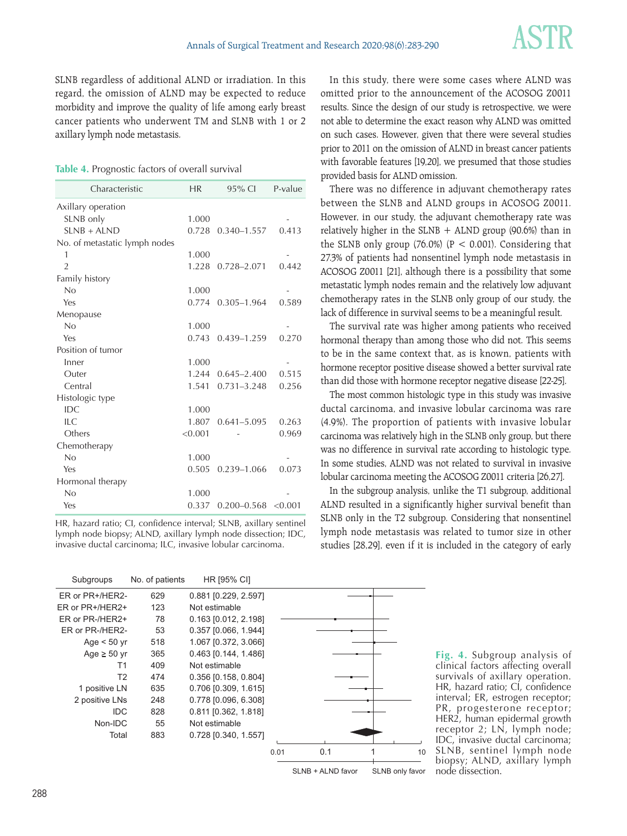SLNB regardless of additional ALND or irradiation. In this regard, the omission of ALND may be expected to reduce morbidity and improve the quality of life among early breast cancer patients who underwent TM and SLNB with 1 or 2 axillary lymph node metastasis.

|  | Table 4. Prognostic factors of overall survival |  |  |  |
|--|-------------------------------------------------|--|--|--|
|--|-------------------------------------------------|--|--|--|

| Characteristic                | <b>HR</b> | 95% CI                  | P-value |
|-------------------------------|-----------|-------------------------|---------|
| Axillary operation            |           |                         |         |
| SLNB only                     | 1.000     |                         |         |
| $SINB + ALND$                 | 0.728     | $0.340 - 1.557$         | 0.413   |
| No. of metastatic lymph nodes |           |                         |         |
| 1                             | 1.000     |                         |         |
| $\overline{2}$                | 1.228     | $0.728 - 2.071$         | 0.442   |
| Family history                |           |                         |         |
| No                            | 1.000     |                         |         |
| Yes                           | 0.774     | $0.305 - 1.964$         | 0.589   |
| Menopause                     |           |                         |         |
| No                            | 1.000     |                         |         |
| Yes                           | 0.743     | 0.439-1.259             | 0.270   |
| Position of tumor             |           |                         |         |
| Inner                         | 1.000     |                         |         |
| Outer                         | 1.244     | $0.645 - 2.400$         | 0.515   |
| Central                       | 1.541     | $0.731 - 3.248$         | 0.256   |
| Histologic type               |           |                         |         |
| IDC                           | 1.000     |                         |         |
| ILC                           | 1.807     | $0.641 - 5.095$         | 0.263   |
| Others                        | < 0.001   |                         | 0.969   |
| Chemotherapy                  |           |                         |         |
| No                            | 1.000     |                         |         |
| Yes                           | 0.505     | 0.239-1.066             | 0.073   |
| Hormonal therapy              |           |                         |         |
| No                            | 1.000     |                         |         |
| Yes                           | 0.337     | $0.200 - 0.568$ < 0.001 |         |

HR, hazard ratio; CI, confidence interval; SLNB, axillary sentinel lymph node biopsy; ALND, axillary lymph node dissection; IDC, invasive ductal carcinoma; ILC, invasive lobular carcinoma.

Subgroups No. of patients ER or PR+/HER2- ER or PR+/HER2+ ER or PR-/HER2+ ER or PR-/HER2- Age  $< 50$  yr Age  $\geq 50$  yr T1 T2 1 positive LN 2 positive LNs IDC Non-IDC Total 629 123 78 53 518 365 409 474 635 248 828 55 883 0.881 [0.229, 2.597] Not estimable 0.163 [0.012, 2.198] 0.357 [0.066, 1.944] 1.067 [0.372, 3.066] 0.463 [0.144, 1.486] Not estimable 0.356 [0.158, 0.804] 0.706 [0.309, 1.615] 0.778 [0.096, 6.308] 0.811 [0.362, 1.818] Not estimable 0.728 [0.340, 1.557] HR [95% CI] 0.01 0.1 1 10

SLNB + ALND favor SLNB only favor

In this study, there were some cases where ALND was omitted prior to the announcement of the ACOSOG Z0011 results. Since the design of our study is retrospective, we were not able to determine the exact reason why ALND was omitted on such cases. However, given that there were several studies prior to 2011 on the omission of ALND in breast cancer patients with favorable features [19,20], we presumed that those studies provided basis for ALND omission.

There was no difference in adjuvant chemotherapy rates between the SLNB and ALND groups in ACOSOG Z0011. However, in our study, the adjuvant chemotherapy rate was relatively higher in the SLNB  $+$  ALND group (90.6%) than in the SLNB only group (76.0%) ( $P < 0.001$ ). Considering that 27.3% of patients had nonsentinel lymph node metastasis in ACOSOG Z0011 [21], although there is a possibility that some metastatic lymph nodes remain and the relatively low adjuvant chemotherapy rates in the SLNB only group of our study, the lack of difference in survival seems to be a meaningful result.

The survival rate was higher among patients who received hormonal therapy than among those who did not. This seems to be in the same context that, as is known, patients with hormone receptor positive disease showed a better survival rate than did those with hormone receptor negative disease [22-25].

The most common histologic type in this study was invasive ductal carcinoma, and invasive lobular carcinoma was rare (4.9%). The proportion of patients with invasive lobular carcinoma was relatively high in the SLNB only group, but there was no difference in survival rate according to histologic type. In some studies, ALND was not related to survival in invasive lobular carcinoma meeting the ACOSOG Z0011 criteria [26,27].

In the subgroup analysis, unlike the T1 subgroup, additional ALND resulted in a significantly higher survival benefit than SLNB only in the T2 subgroup. Considering that nonsentinel lymph node metastasis was related to tumor size in other studies [28,29], even if it is included in the category of early

> **Fig. 4.** Subgroup analysis of clinical factors affecting overall survivals of axillary operation. HR, hazard ratio; CI, confidence interval; ER, estrogen receptor; PR, progesterone receptor; HER2, human epidermal growth receptor 2; LN, lymph node; IDC, invasive ductal carcinoma; SLNB, sentinel lymph node biopsy; ALND, axillary lymph node dissection.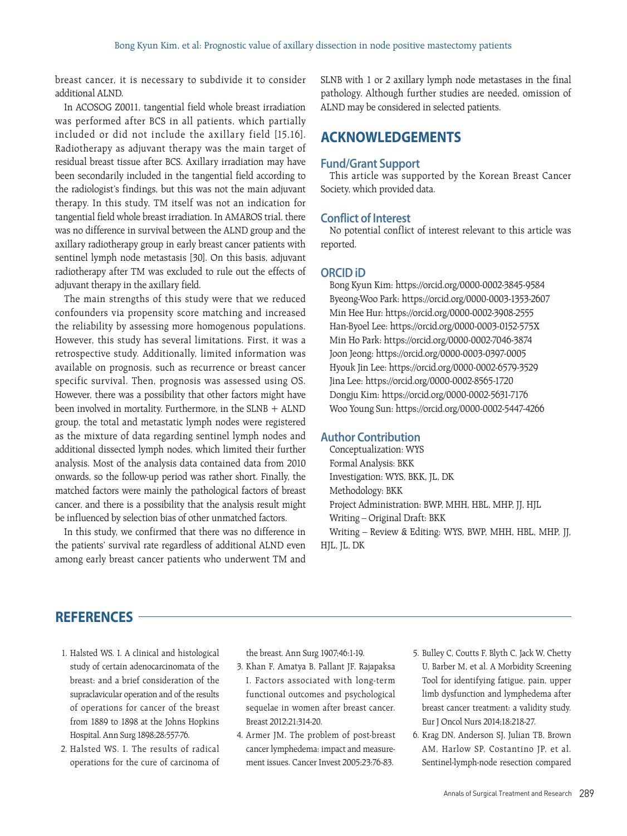breast cancer, it is necessary to subdivide it to consider additional ALND.

In ACOSOG Z0011, tangential field whole breast irradiation was performed after BCS in all patients, which partially included or did not include the axillary field [15,16]. Radiotherapy as adjuvant therapy was the main target of residual breast tissue after BCS. Axillary irradiation may have been secondarily included in the tangential field according to the radiologist's findings, but this was not the main adjuvant therapy. In this study, TM itself was not an indication for tangential field whole breast irradiation. In AMAROS trial, there was no difference in survival between the ALND group and the axillary radiotherapy group in early breast cancer patients with sentinel lymph node metastasis [30]. On this basis, adjuvant radiotherapy after TM was excluded to rule out the effects of adjuvant therapy in the axillary field.

The main strengths of this study were that we reduced confounders via propensity score matching and increased the reliability by assessing more homogenous populations. However, this study has several limitations. First, it was a retrospective study. Additionally, limited information was available on prognosis, such as recurrence or breast cancer specific survival. Then, prognosis was assessed using OS. However, there was a possibility that other factors might have been involved in mortality. Furthermore, in the SLNB + ALND group, the total and metastatic lymph nodes were registered as the mixture of data regarding sentinel lymph nodes and additional dissected lymph nodes, which limited their further analysis. Most of the analysis data contained data from 2010 onwards, so the follow-up period was rather short. Finally, the matched factors were mainly the pathological factors of breast cancer, and there is a possibility that the analysis result might be influenced by selection bias of other unmatched factors.

In this study, we confirmed that there was no difference in the patients' survival rate regardless of additional ALND even among early breast cancer patients who underwent TM and SLNB with 1 or 2 axillary lymph node metastases in the final pathology. Although further studies are needed, omission of ALND may be considered in selected patients.

# **ACKNOWLEDGEMENTS**

#### **Fund/Grant Support**

This article was supported by the Korean Breast Cancer Society, which provided data.

#### **Conflict of Interest**

No potential conflict of interest relevant to this article was reported.

#### **ORCID iD**

Bong Kyun Kim: https://orcid.org/0000-0002-3845-9584 Byeong-Woo Park: https://orcid.org/0000-0003-1353-2607 Min Hee Hur: https://orcid.org/0000-0002-3908-2555 Han-Byoel Lee: https://orcid.org/0000-0003-0152-575X Min Ho Park: https://orcid.org/0000-0002-7046-3874 Joon Jeong: https://orcid.org/0000-0003-0397-0005 Hyouk Jin Lee: https://orcid.org/0000-0002-6579-3529 Jina Lee: https://orcid.org/0000-0002-8565-1720 Dongju Kim: https://orcid.org/0000-0002-5631-7176 Woo Young Sun: https://orcid.org/0000-0002-5447-4266

#### **Author Contribution**

Conceptualization: WYS Formal Analysis: BKK Investigation: WYS, BKK, JL, DK Methodology: BKK Project Administration: BWP, MHH, HBL, MHP, JJ, HJL Writing – Original Draft: BKK Writing – Review & Editing: WYS, BWP, MHH, HBL, MHP, JJ, HJL, JL, DK

# **REFERENCES**

- 1. Halsted WS. I. A clinical and histological study of certain adenocarcinomata of the breast: and a brief consideration of the supraclavicular operation and of the results of operations for cancer of the breast from 1889 to 1898 at the Johns Hopkins Hospital. Ann Surg 1898;28:557-76.
- 2. Halsted WS. I. The results of radical operations for the cure of carcinoma of

the breast. Ann Surg 1907;46:1-19.

- 3. Khan F, Amatya B, Pallant JF, Rajapaksa I. Factors associated with long-term functional outcomes and psychological sequelae in women after breast cancer. Breast 2012;21:314-20.
- 4. Armer JM. The problem of post-breast cancer lymphedema: impact and measurement issues. Cancer Invest 2005;23:76-83.
- 5. Bulley C, Coutts F, Blyth C, Jack W, Chetty U, Barber M, et al. A Morbidity Screening Tool for identifying fatigue, pain, upper limb dysfunction and lymphedema after breast cancer treatment: a validity study. Eur J Oncol Nurs 2014;18:218-27.
- 6. Krag DN, Anderson SJ, Julian TB, Brown AM, Harlow SP, Costantino JP, et al. Sentinel-lymph-node resection compared